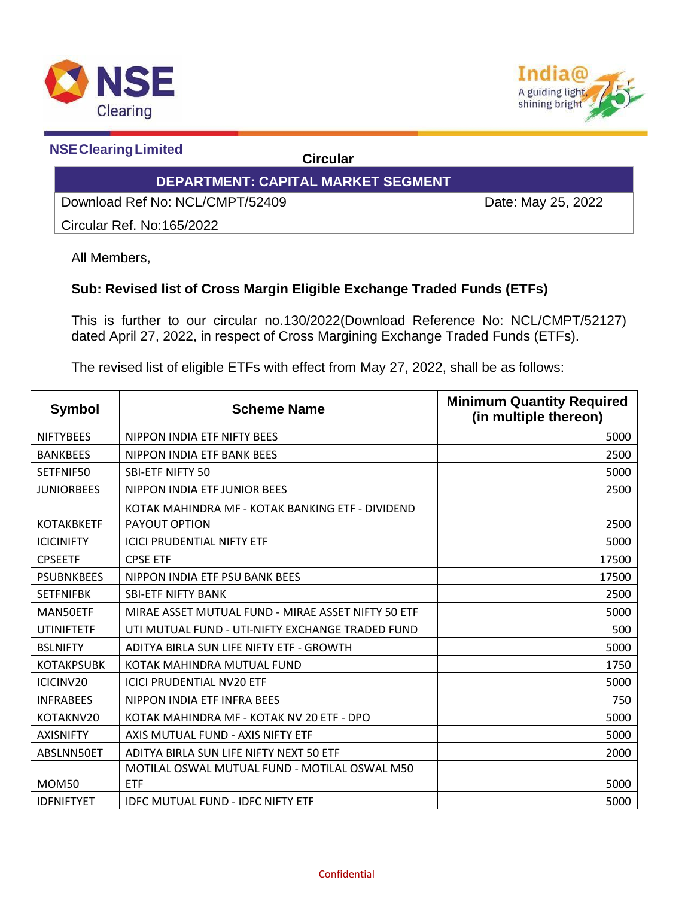



 **NSEClearingLimited Circular**

## **DEPARTMENT: CAPITAL MARKET SEGMENT**

Download Ref No: NCL/CMPT/52409 Date: May 25, 2022

Circular Ref. No:165/2022

All Members,

## **Sub: Revised list of Cross Margin Eligible Exchange Traded Funds (ETFs)**

This is further to our circular no.130/2022(Download Reference No: NCL/CMPT/52127) dated April 27, 2022, in respect of Cross Margining Exchange Traded Funds (ETFs).

The revised list of eligible ETFs with effect from May 27, 2022, shall be as follows:

| <b>Symbol</b>     | <b>Scheme Name</b>                                                       | <b>Minimum Quantity Required</b><br>(in multiple thereon) |
|-------------------|--------------------------------------------------------------------------|-----------------------------------------------------------|
| <b>NIFTYBEES</b>  | NIPPON INDIA ETF NIFTY BEES                                              | 5000                                                      |
| <b>BANKBEES</b>   | NIPPON INDIA ETF BANK BEES                                               | 2500                                                      |
| SETFNIF50         | <b>SBI-ETF NIFTY 50</b>                                                  | 5000                                                      |
| <b>JUNIORBEES</b> | NIPPON INDIA ETF JUNIOR BEES                                             | 2500                                                      |
| <b>KOTAKBKETF</b> | KOTAK MAHINDRA MF - KOTAK BANKING ETF - DIVIDEND<br><b>PAYOUT OPTION</b> | 2500                                                      |
| <b>ICICINIFTY</b> | <b>ICICI PRUDENTIAL NIFTY ETF</b>                                        | 5000                                                      |
| <b>CPSEETF</b>    | <b>CPSE ETF</b>                                                          | 17500                                                     |
| <b>PSUBNKBEES</b> | NIPPON INDIA ETF PSU BANK BEES                                           | 17500                                                     |
| <b>SETFNIFBK</b>  | <b>SBI-ETF NIFTY BANK</b>                                                | 2500                                                      |
| MAN50ETF          | MIRAE ASSET MUTUAL FUND - MIRAE ASSET NIFTY 50 ETF                       | 5000                                                      |
| <b>UTINIFTETF</b> | UTI MUTUAL FUND - UTI-NIFTY EXCHANGE TRADED FUND                         | 500                                                       |
| <b>BSLNIFTY</b>   | ADITYA BIRLA SUN LIFE NIFTY ETF - GROWTH                                 | 5000                                                      |
| <b>KOTAKPSUBK</b> | KOTAK MAHINDRA MUTUAL FUND                                               | 1750                                                      |
| ICICINV20         | <b>ICICI PRUDENTIAL NV20 ETF</b>                                         | 5000                                                      |
| <b>INFRABEES</b>  | NIPPON INDIA ETF INFRA BEES                                              | 750                                                       |
| KOTAKNV20         | KOTAK MAHINDRA MF - KOTAK NV 20 ETF - DPO                                | 5000                                                      |
| <b>AXISNIFTY</b>  | AXIS MUTUAL FUND - AXIS NIFTY ETF                                        | 5000                                                      |
| ABSLNN50ET        | ADITYA BIRLA SUN LIFE NIFTY NEXT 50 ETF                                  | 2000                                                      |
| <b>MOM50</b>      | MOTILAL OSWAL MUTUAL FUND - MOTILAL OSWAL M50<br><b>ETF</b>              | 5000                                                      |
| <b>IDFNIFTYET</b> | <b>IDFC MUTUAL FUND - IDFC NIFTY ETF</b>                                 | 5000                                                      |